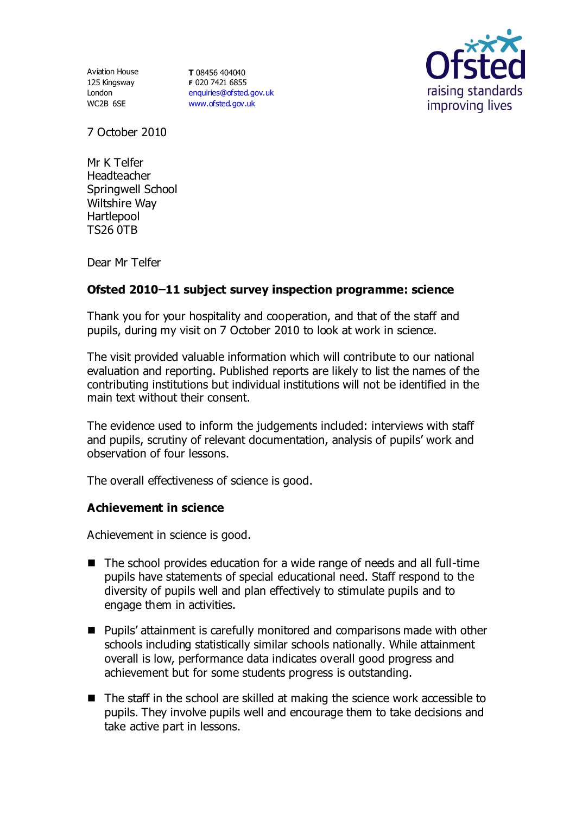Aviation House 125 Kingsway London WC2B 6SE

**T** 08456 404040 **F** 020 7421 6855 [enquiries@ofsted.gov.uk](mailto:enquiries@ofsted.gov.uk) [www.ofsted.gov.uk](http://www.ofsted.gov.uk/)



7 October 2010

Mr K Telfer Headteacher Springwell School Wiltshire Way Hartlepool TS26 0TB

Dear Mr Telfer

## **Ofsted 2010 11 subject survey inspection programme: science**

Thank you for your hospitality and cooperation, and that of the staff and pupils, during my visit on 7 October 2010 to look at work in science.

The visit provided valuable information which will contribute to our national evaluation and reporting. Published reports are likely to list the names of the contributing institutions but individual institutions will not be identified in the main text without their consent.

The evidence used to inform the judgements included: interviews with staff and pupils, scrutiny of relevant documentation, analysis of pupils' work and observation of four lessons.

The overall effectiveness of science is good.

## **Achievement in science**

Achievement in science is good.

- The school provides education for a wide range of needs and all full-time pupils have statements of special educational need. Staff respond to the diversity of pupils well and plan effectively to stimulate pupils and to engage them in activities.
- Pupils' attainment is carefully monitored and comparisons made with other schools including statistically similar schools nationally. While attainment overall is low, performance data indicates overall good progress and achievement but for some students progress is outstanding.
- The staff in the school are skilled at making the science work accessible to pupils. They involve pupils well and encourage them to take decisions and take active part in lessons.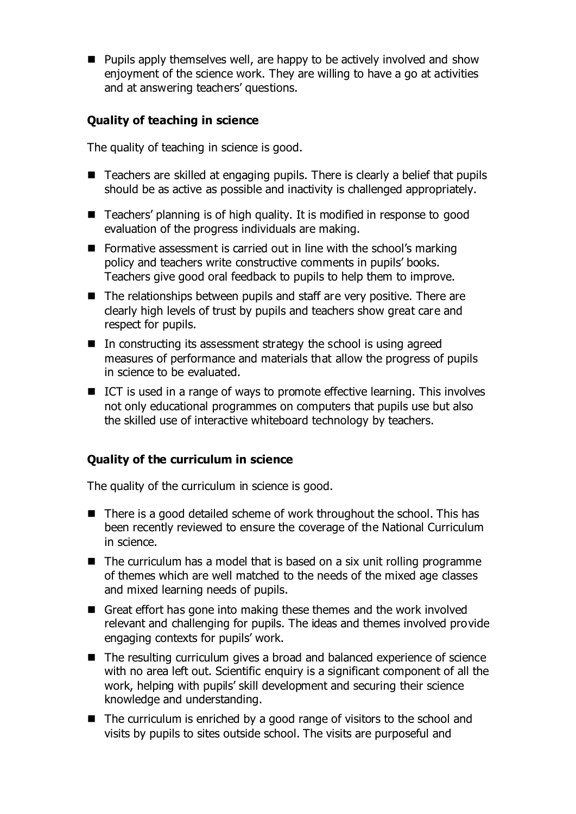$\blacksquare$  Pupils apply themselves well, are happy to be actively involved and show enjoyment of the science work. They are willing to have a go at activities and at answering teachers' questions.

# **Quality of teaching in science**

The quality of teaching in science is good.

- Teachers are skilled at engaging pupils. There is clearly a belief that pupils should be as active as possible and inactivity is challenged appropriately.
- Teachers' planning is of high quality. It is modified in response to good evaluation of the progress individuals are making.
- Formative assessment is carried out in line with the school's marking policy and teachers write constructive comments in pupils' books. Teachers give good oral feedback to pupils to help them to improve.
- The relationships between pupils and staff are very positive. There are clearly high levels of trust by pupils and teachers show great care and respect for pupils.
- $\blacksquare$  In constructing its assessment strategy the school is using agreed measures of performance and materials that allow the progress of pupils in science to be evaluated.
- ICT is used in a range of ways to promote effective learning. This involves not only educational programmes on computers that pupils use but also the skilled use of interactive whiteboard technology by teachers.

## **Quality of the curriculum in science**

The quality of the curriculum in science is good.

- There is a good detailed scheme of work throughout the school. This has been recently reviewed to ensure the coverage of the National Curriculum in science.
- $\blacksquare$  The curriculum has a model that is based on a six unit rolling programme of themes which are well matched to the needs of the mixed age classes and mixed learning needs of pupils.
- Great effort has gone into making these themes and the work involved relevant and challenging for pupils. The ideas and themes involved provide engaging contexts for pupils' work.
- The resulting curriculum gives a broad and balanced experience of science with no area left out. Scientific enquiry is a significant component of all the work, helping with pupils' skill development and securing their science knowledge and understanding.
- $\blacksquare$  The curriculum is enriched by a good range of visitors to the school and visits by pupils to sites outside school. The visits are purposeful and